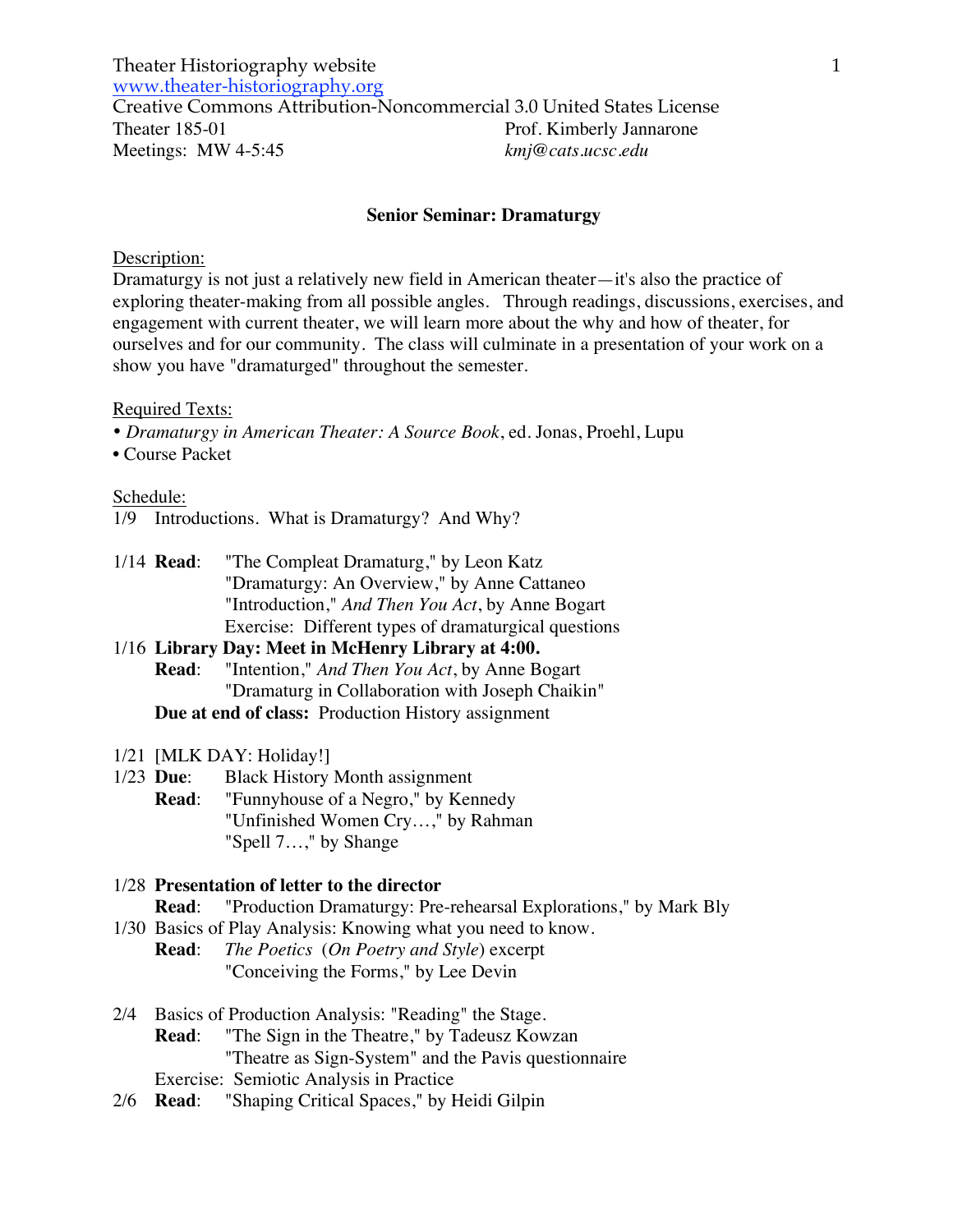### **Senior Seminar: Dramaturgy**

#### Description:

Dramaturgy is not just a relatively new field in American theater—it's also the practice of exploring theater-making from all possible angles. Through readings, discussions, exercises, and engagement with current theater, we will learn more about the why and how of theater, for ourselves and for our community. The class will culminate in a presentation of your work on a show you have "dramaturged" throughout the semester.

### Required Texts:

- *Dramaturgy in American Theater: A Source Book*, ed. Jonas, Proehl, Lupu
- Course Packet

### Schedule:

- 1/9 Introductions. What is Dramaturgy? And Why?
- 1/14 **Read**: "The Compleat Dramaturg," by Leon Katz "Dramaturgy: An Overview," by Anne Cattaneo "Introduction," *And Then You Act*, by Anne Bogart Exercise: Different types of dramaturgical questions

## 1/16 **Library Day: Meet in McHenry Library at 4:00. Read**: "Intention," *And Then You Act*, by Anne Bogart "Dramaturg in Collaboration with Joseph Chaikin" **Due at end of class:** Production History assignment

- 1/21 [MLK DAY: Holiday!]
- 1/23 **Due**: Black History Month assignment
	- **Read**: "Funnyhouse of a Negro," by Kennedy "Unfinished Women Cry…," by Rahman "Spell 7…," by Shange

## 1/28 **Presentation of letter to the director**

**Read**: "Production Dramaturgy: Pre-rehearsal Explorations," by Mark Bly

- 1/30 Basics of Play Analysis: Knowing what you need to know. **Read**: *The Poetics* (*On Poetry and Style*) excerpt "Conceiving the Forms," by Lee Devin
- 2/4 Basics of Production Analysis: "Reading" the Stage. **Read**: "The Sign in the Theatre," by Tadeusz Kowzan "Theatre as Sign-System" and the Pavis questionnaire Exercise: Semiotic Analysis in Practice
- 2/6 **Read**: "Shaping Critical Spaces," by Heidi Gilpin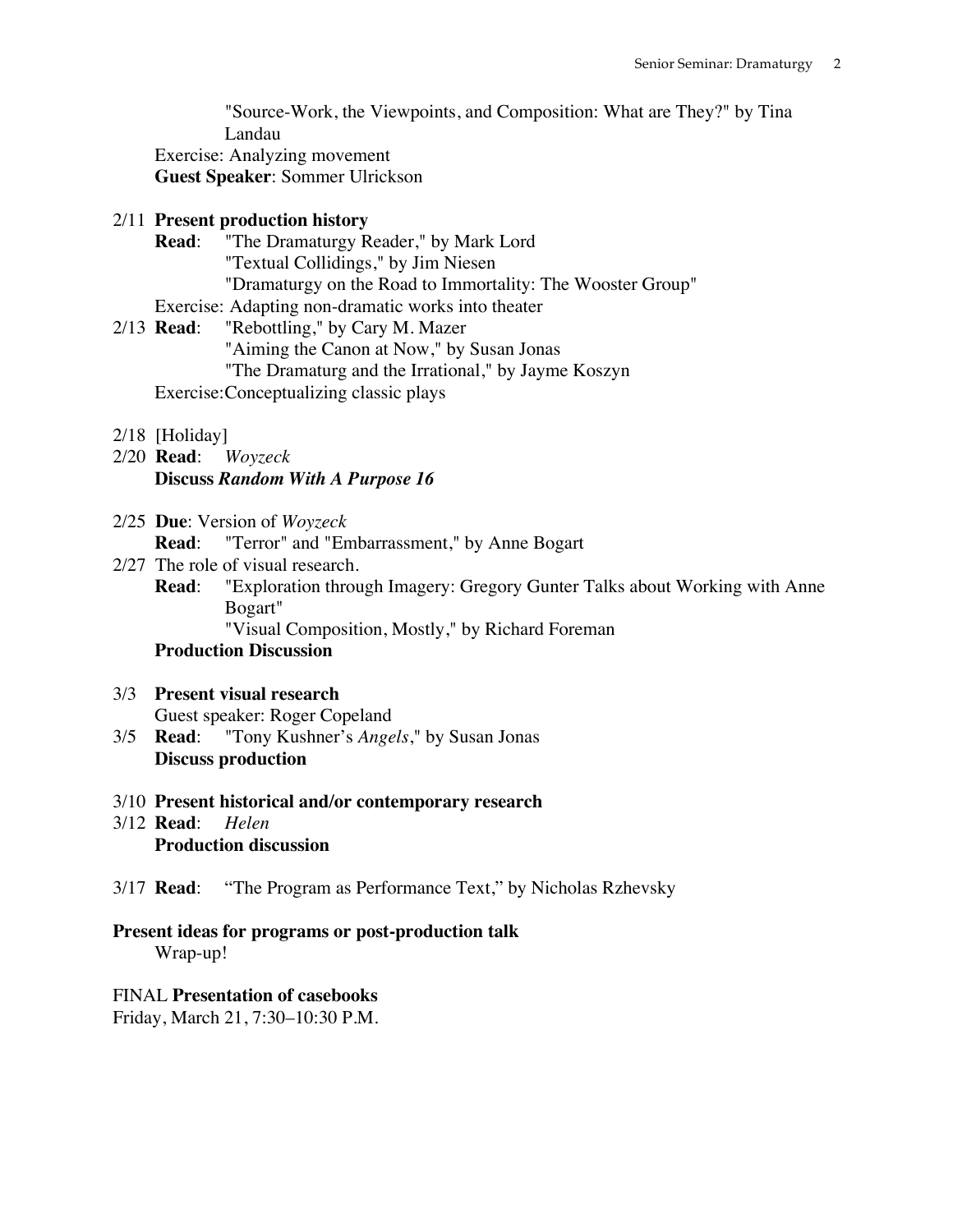"Source-Work, the Viewpoints, and Composition: What are They?" by Tina Landau Exercise: Analyzing movement **Guest Speaker**: Sommer Ulrickson

## 2/11 **Present production history**

**Read**: "The Dramaturgy Reader," by Mark Lord "Textual Collidings," by Jim Niesen "Dramaturgy on the Road to Immortality: The Wooster Group"

Exercise: Adapting non-dramatic works into theater

- 2/13 **Read**: "Rebottling," by Cary M. Mazer "Aiming the Canon at Now," by Susan Jonas "The Dramaturg and the Irrational," by Jayme Koszyn Exercise:Conceptualizing classic plays
- 2/18 [Holiday]
- 2/20 **Read**: *Woyzeck* **Discuss** *Random With A Purpose 16*
- 2/25 **Due**: Version of *Woyzeck*

**Read**: "Terror" and "Embarrassment," by Anne Bogart

- 2/27 The role of visual research.
	- **Read**: "Exploration through Imagery: Gregory Gunter Talks about Working with Anne Bogart"

"Visual Composition, Mostly," by Richard Foreman

## **Production Discussion**

- 3/3 **Present visual research** Guest speaker: Roger Copeland
- 3/5 **Read**: "Tony Kushner's *Angels*," by Susan Jonas **Discuss production**
- 3/10 **Present historical and/or contemporary research**
- 3/12 **Read**: *Helen* **Production discussion**
- 3/17 **Read**: "The Program as Performance Text," by Nicholas Rzhevsky

# **Present ideas for programs or post-production talk**

Wrap-up!

# FINAL **Presentation of casebooks**

Friday, March 21, 7:30–10:30 P.M.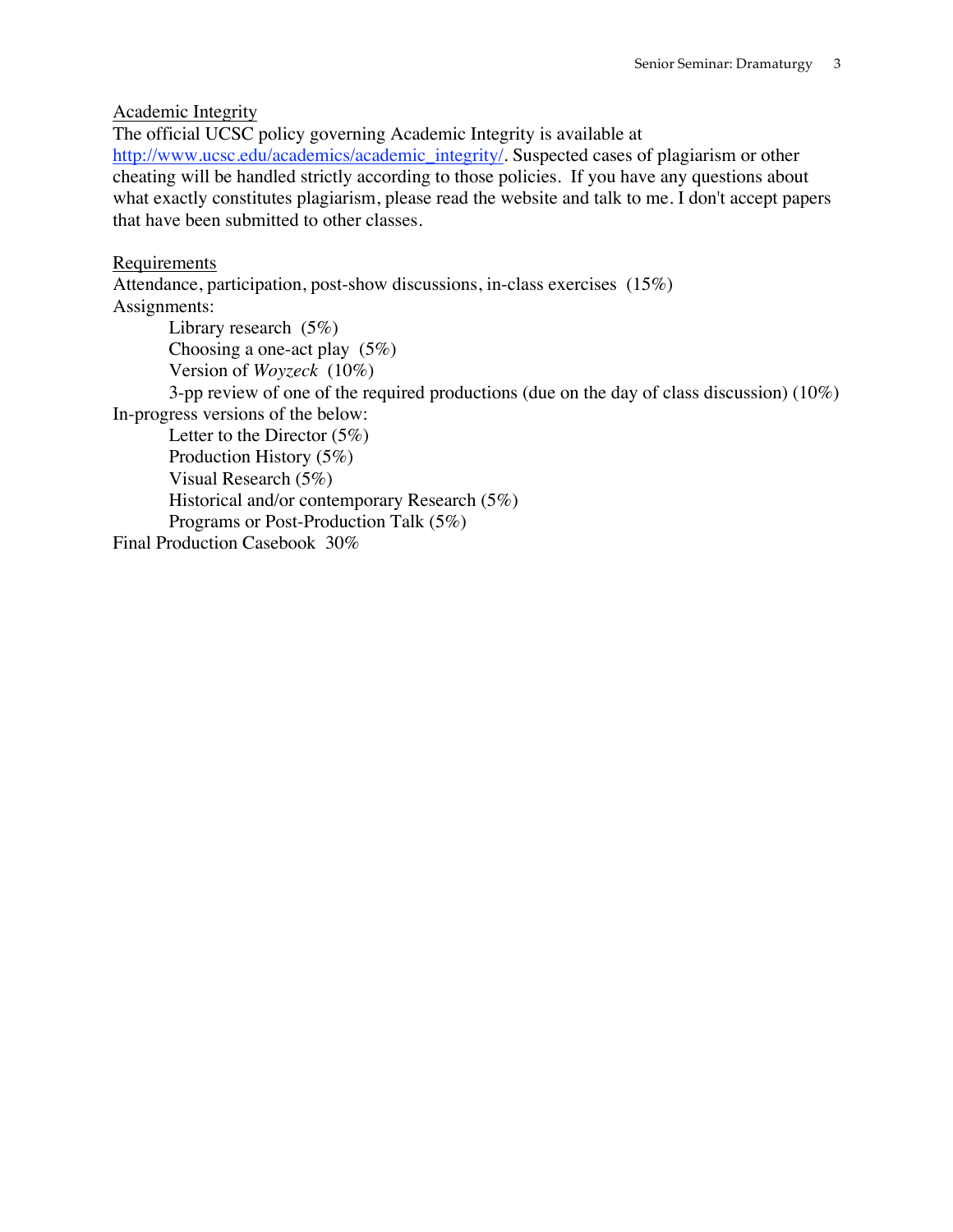Academic Integrity

The official UCSC policy governing Academic Integrity is available at http://www.ucsc.edu/academics/academic\_integrity/. Suspected cases of plagiarism or other cheating will be handled strictly according to those policies. If you have any questions about what exactly constitutes plagiarism, please read the website and talk to me. I don't accept papers that have been submitted to other classes.

## Requirements

Attendance, participation, post-show discussions, in-class exercises (15%) Assignments: Library research (5%)

Choosing a one-act play (5%) Version of *Woyzeck* (10%)

3-pp review of one of the required productions (due on the day of class discussion) (10%) In-progress versions of the below:

Letter to the Director (5%) Production History (5%) Visual Research (5%) Historical and/or contemporary Research (5%) Programs or Post-Production Talk (5%) Final Production Casebook 30%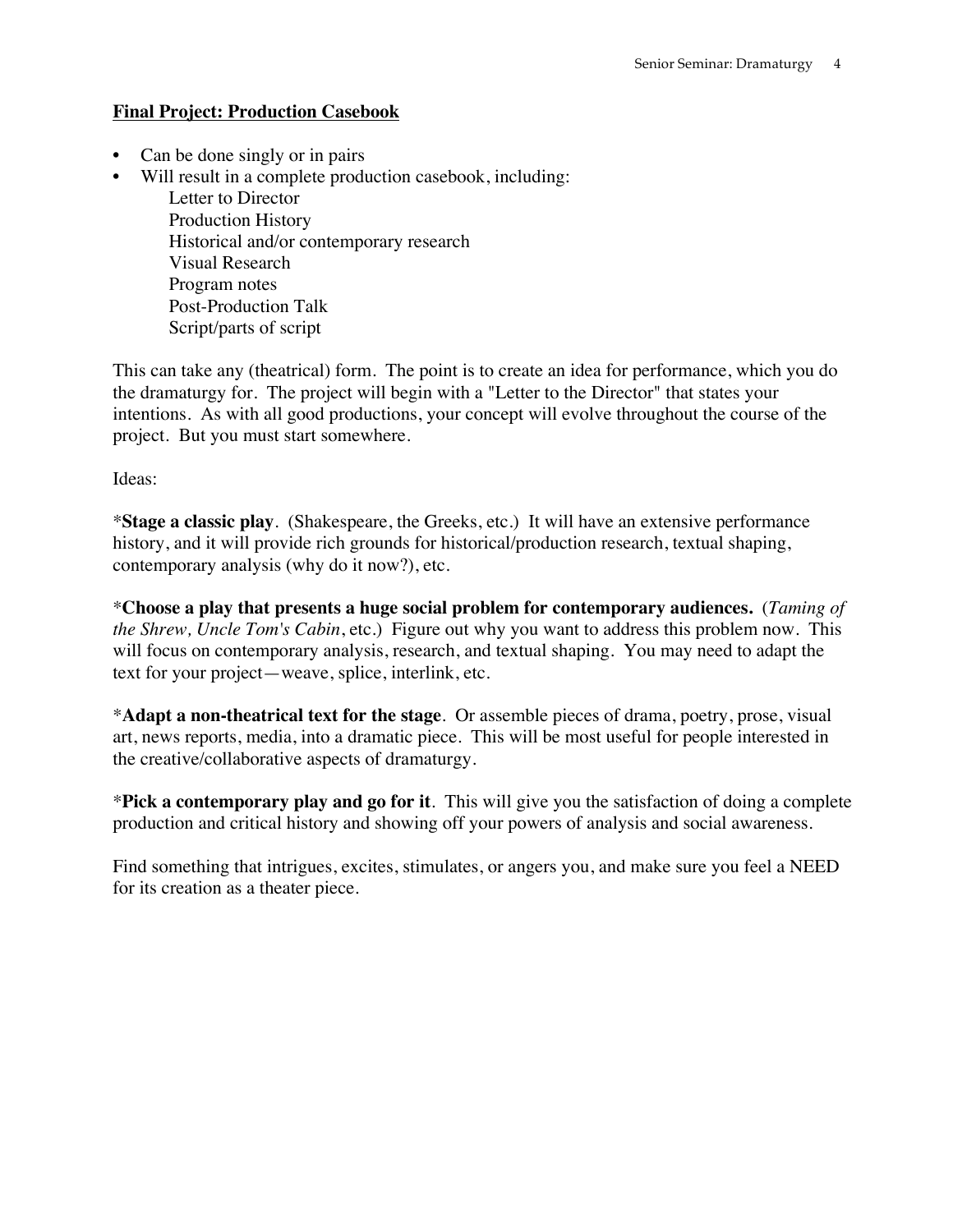# **Final Project: Production Casebook**

- Can be done singly or in pairs
- Will result in a complete production casebook, including:

Letter to Director Production History Historical and/or contemporary research Visual Research Program notes Post-Production Talk Script/parts of script

This can take any (theatrical) form. The point is to create an idea for performance, which you do the dramaturgy for. The project will begin with a "Letter to the Director" that states your intentions. As with all good productions, your concept will evolve throughout the course of the project. But you must start somewhere.

Ideas:

\***Stage a classic play**. (Shakespeare, the Greeks, etc.) It will have an extensive performance history, and it will provide rich grounds for historical/production research, textual shaping, contemporary analysis (why do it now?), etc.

\***Choose a play that presents a huge social problem for contemporary audiences.** (*Taming of the Shrew, Uncle Tom's Cabin*, etc.) Figure out why you want to address this problem now. This will focus on contemporary analysis, research, and textual shaping. You may need to adapt the text for your project—weave, splice, interlink, etc.

\***Adapt a non-theatrical text for the stage**. Or assemble pieces of drama, poetry, prose, visual art, news reports, media, into a dramatic piece. This will be most useful for people interested in the creative/collaborative aspects of dramaturgy.

\***Pick a contemporary play and go for it**. This will give you the satisfaction of doing a complete production and critical history and showing off your powers of analysis and social awareness.

Find something that intrigues, excites, stimulates, or angers you, and make sure you feel a NEED for its creation as a theater piece.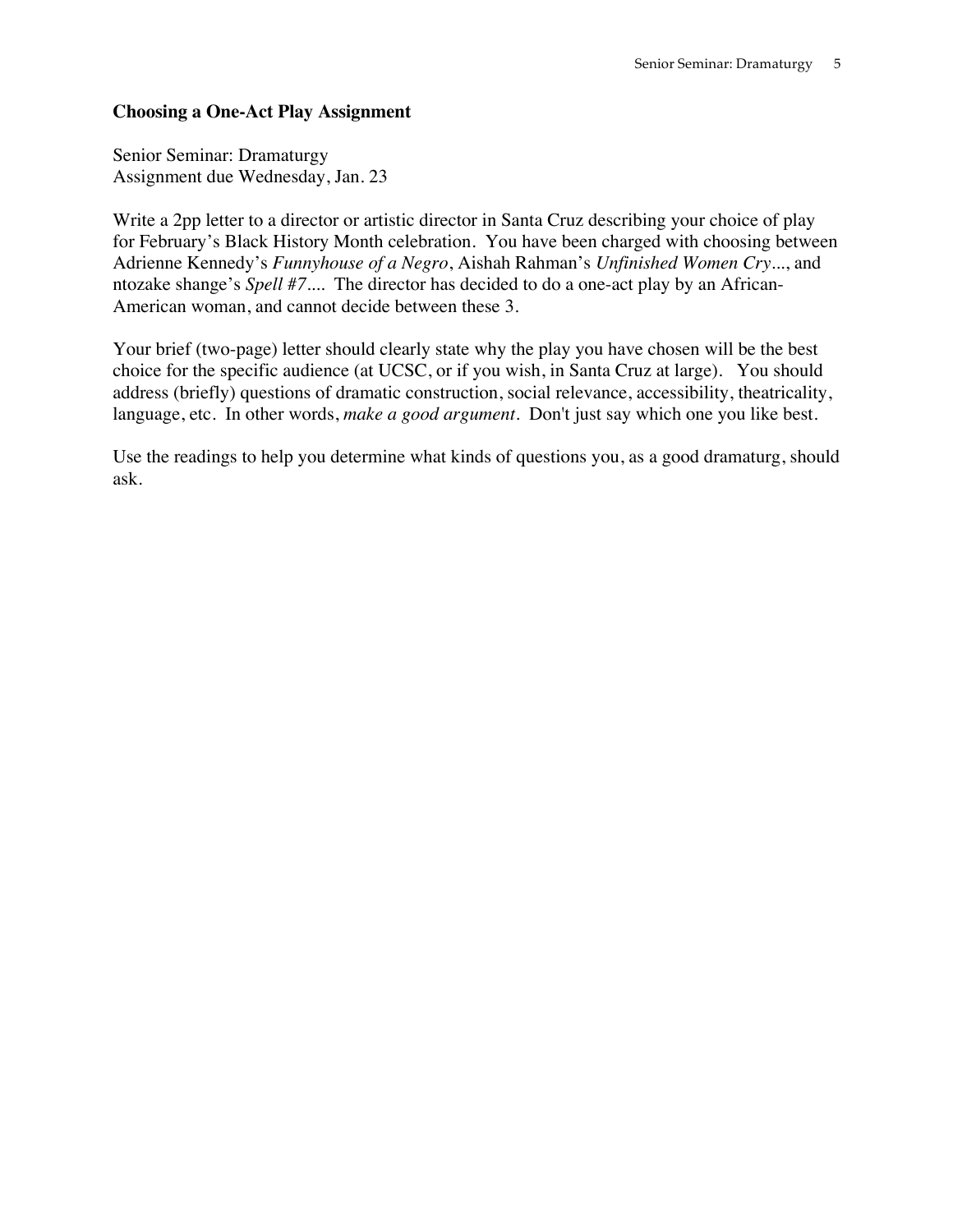## **Choosing a One-Act Play Assignment**

Senior Seminar: Dramaturgy Assignment due Wednesday, Jan. 23

Write a 2pp letter to a director or artistic director in Santa Cruz describing your choice of play for February's Black History Month celebration. You have been charged with choosing between Adrienne Kennedy's *Funnyhouse of a Negro*, Aishah Rahman's *Unfinished Women Cry*..., and ntozake shange's *Spell #7...*. The director has decided to do a one-act play by an African-American woman, and cannot decide between these 3.

Your brief (two-page) letter should clearly state why the play you have chosen will be the best choice for the specific audience (at UCSC, or if you wish, in Santa Cruz at large). You should address (briefly) questions of dramatic construction, social relevance, accessibility, theatricality, language, etc. In other words, *make a good argument*. Don't just say which one you like best.

Use the readings to help you determine what kinds of questions you, as a good dramaturg, should ask.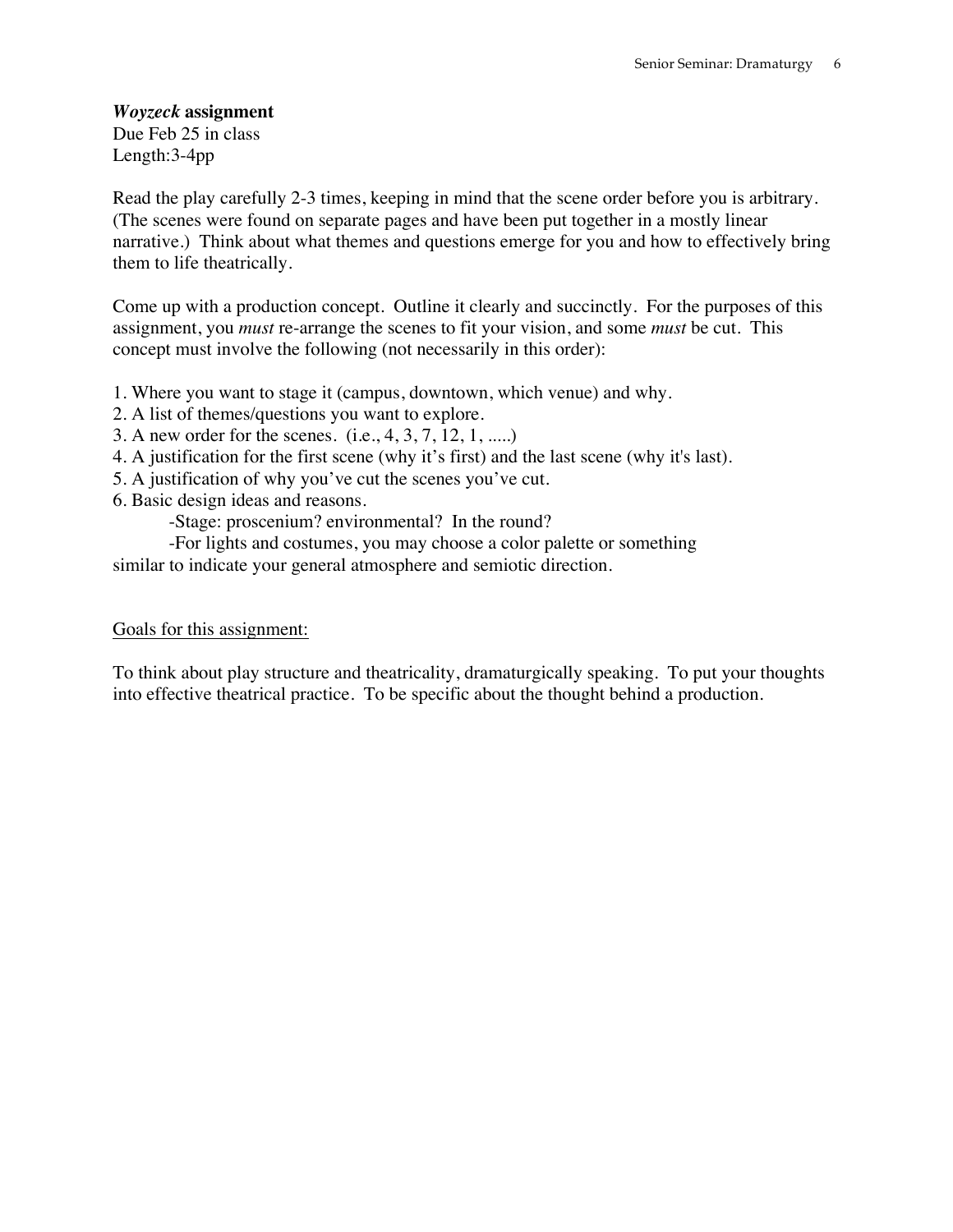## *Woyzeck* **assignment**

Due Feb 25 in class Length:3-4pp

Read the play carefully 2-3 times, keeping in mind that the scene order before you is arbitrary. (The scenes were found on separate pages and have been put together in a mostly linear narrative.) Think about what themes and questions emerge for you and how to effectively bring them to life theatrically.

Come up with a production concept. Outline it clearly and succinctly. For the purposes of this assignment, you *must* re-arrange the scenes to fit your vision, and some *must* be cut. This concept must involve the following (not necessarily in this order):

- 1. Where you want to stage it (campus, downtown, which venue) and why.
- 2. A list of themes/questions you want to explore.
- 3. A new order for the scenes. (i.e., 4, 3, 7, 12, 1, .....)
- 4. A justification for the first scene (why it's first) and the last scene (why it's last).
- 5. A justification of why you've cut the scenes you've cut.
- 6. Basic design ideas and reasons.

-Stage: proscenium? environmental? In the round?

-For lights and costumes, you may choose a color palette or something similar to indicate your general atmosphere and semiotic direction.

### Goals for this assignment:

To think about play structure and theatricality, dramaturgically speaking. To put your thoughts into effective theatrical practice. To be specific about the thought behind a production.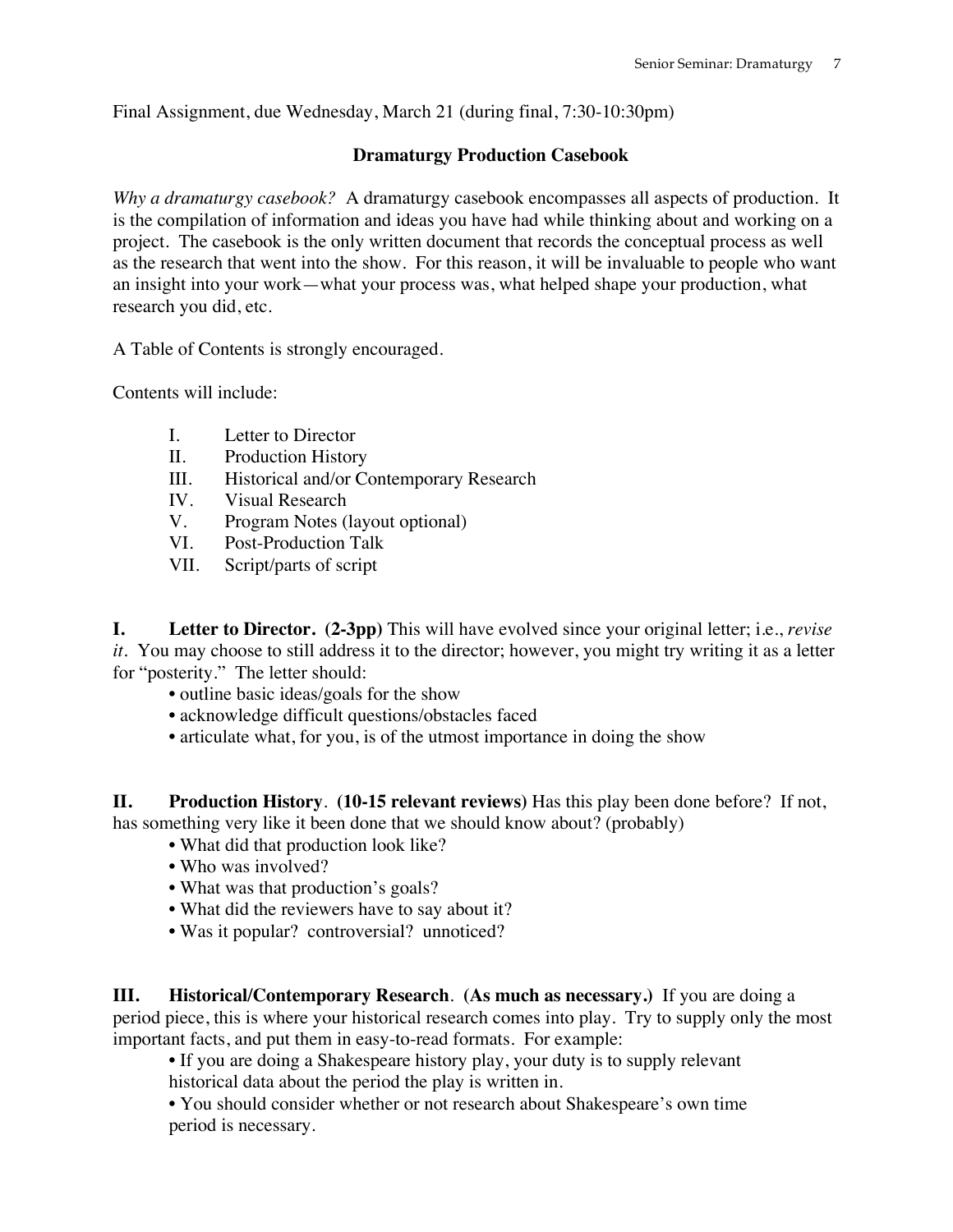Final Assignment, due Wednesday, March 21 (during final, 7:30-10:30pm)

# **Dramaturgy Production Casebook**

*Why a dramaturgy casebook?* A dramaturgy casebook encompasses all aspects of production. It is the compilation of information and ideas you have had while thinking about and working on a project. The casebook is the only written document that records the conceptual process as well as the research that went into the show. For this reason, it will be invaluable to people who want an insight into your work—what your process was, what helped shape your production, what research you did, etc.

A Table of Contents is strongly encouraged.

Contents will include:

- I. Letter to Director
- II. Production History
- III. Historical and/or Contemporary Research
- IV. Visual Research
- V. Program Notes (layout optional)
- VI. Post-Production Talk
- VII. Script/parts of script

**I. Letter to Director. (2-3pp)** This will have evolved since your original letter; i.e., *revise it*. You may choose to still address it to the director; however, you might try writing it as a letter for "posterity." The letter should:

- outline basic ideas/goals for the show
- acknowledge difficult questions/obstacles faced
- articulate what, for you, is of the utmost importance in doing the show

**II. Production History**. **(10-15 relevant reviews)** Has this play been done before? If not, has something very like it been done that we should know about? (probably)

- What did that production look like?
- Who was involved?
- What was that production's goals?
- What did the reviewers have to say about it?
- Was it popular? controversial? unnoticed?

**III. Historical/Contemporary Research**. **(As much as necessary.)** If you are doing a period piece, this is where your historical research comes into play. Try to supply only the most important facts, and put them in easy-to-read formats. For example:

• If you are doing a Shakespeare history play, your duty is to supply relevant historical data about the period the play is written in.

• You should consider whether or not research about Shakespeare's own time period is necessary.